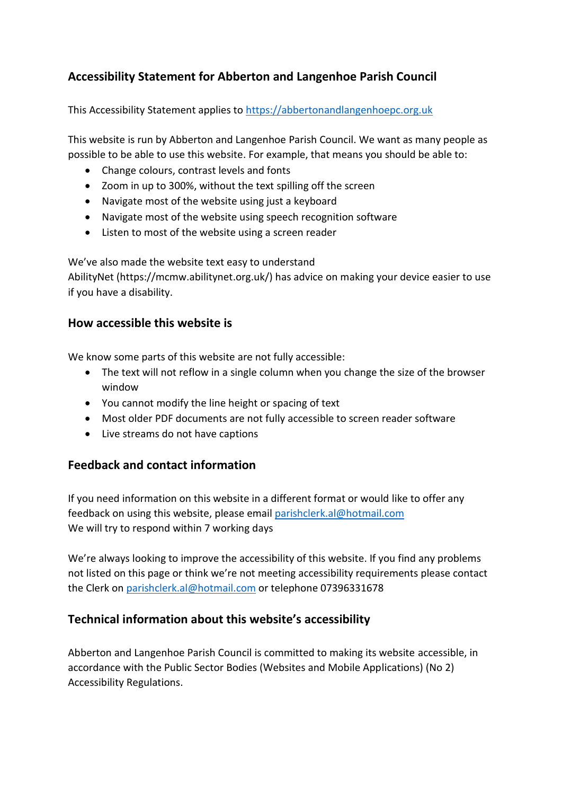# **Accessibility Statement for Abberton and Langenhoe Parish Council**

This Accessibility Statement applies to [https://abbertonandlangenhoepc.org.uk](https://abbertonandlangenhoepc.org.uk/)

This website is run by Abberton and Langenhoe Parish Council. We want as many people as possible to be able to use this website. For example, that means you should be able to:

- Change colours, contrast levels and fonts
- Zoom in up to 300%, without the text spilling off the screen
- Navigate most of the website using just a keyboard
- Navigate most of the website using speech recognition software
- Listen to most of the website using a screen reader

We've also made the website text easy to understand

AbilityNet (https://mcmw.abilitynet.org.uk/) has advice on making your device easier to use if you have a disability.

#### **How accessible this website is**

We know some parts of this website are not fully accessible:

- The text will not reflow in a single column when you change the size of the browser window
- You cannot modify the line height or spacing of text
- Most older PDF documents are not fully accessible to screen reader software
- Live streams do not have captions

#### **Feedback and contact information**

If you need information on this website in a different format or would like to offer any feedback on using this website, please email [parishclerk.al@hotmail.com](mailto:parishclerk.al@hotmail.com) We will try to respond within 7 working days

We're always looking to improve the accessibility of this website. If you find any problems not listed on this page or think we're not meeting accessibility requirements please contact the Clerk on [parishclerk.al@hotmail.com](mailto:parishclerk.al@hotmail.com) or telephone 07396331678

#### **Technical information about this website's accessibility**

Abberton and Langenhoe Parish Council is committed to making its website accessible, in accordance with the Public Sector Bodies (Websites and Mobile Applications) (No 2) Accessibility Regulations.